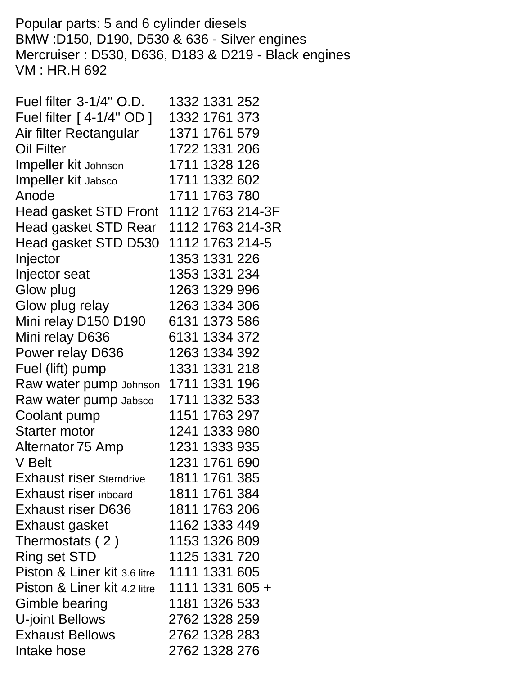Popular parts: 5 and 6 cylinder diesels BMW :D150, D190, D530 & 636 - Silver engines Mercruiser : D530, D636, D183 & D219 - Black engines VM : HR.H 692

| Fuel filter 3-1/4" O.D.                | 1332 1331 252    |
|----------------------------------------|------------------|
| Fuel filter [ 4-1/4" OD ]              | 1332 1761 373    |
| Air filter Rectangular                 | 1371 1761 579    |
| Oil Filter                             | 1722 1331 206    |
| <b>Impeller kit Johnson</b>            | 1711 1328 126    |
| <b>Impeller kit Jabsco</b>             | 1711 1332 602    |
| Anode                                  | 1711 1763 780    |
| Head gasket STD Front 1112 1763 214-3F |                  |
| Head gasket STD Rear                   | 1112 1763 214-3R |
| Head gasket STD D530                   | 1112 1763 214-5  |
| Injector                               | 1353 1331 226    |
| Injector seat                          | 1353 1331 234    |
| Glow plug                              | 1263 1329 996    |
| Glow plug relay                        | 1263 1334 306    |
| Mini relay D150 D190                   | 6131 1373 586    |
| Mini relay D636                        | 6131 1334 372    |
| Power relay D636                       | 1263 1334 392    |
| Fuel (lift) pump                       | 1331 1331 218    |
| Raw water pump Johnson                 | 1711 1331 196    |
| Raw water pump Jabsco                  | 1711 1332 533    |
| Coolant pump                           | 1151 1763 297    |
| <b>Starter motor</b>                   | 1241 1333 980    |
| Alternator 75 Amp                      | 1231 1333 935    |
| V Belt                                 | 1231 1761 690    |
| <b>Exhaust riser Sterndrive</b>        | 1811 1761 385    |
| <b>Exhaust riser inboard</b>           | 1811 1761 384    |
| <b>Exhaust riser D636</b>              | 1811 1763 206    |
| Exhaust gasket                         | 1162 1333 449    |
| Thermostats (2)                        | 1153 1326 809    |
| Ring set STD                           | 1125 1331 720    |
| Piston & Liner kit 3.6 litre           | 1111 1331 605    |
| Piston & Liner kit 4.2 litre           | 1111 1331 605 +  |
| Gimble bearing                         | 1181 1326 533    |
| U-joint Bellows                        | 2762 1328 259    |
| <b>Exhaust Bellows</b>                 | 2762 1328 283    |
| Intake hose                            | 2762 1328 276    |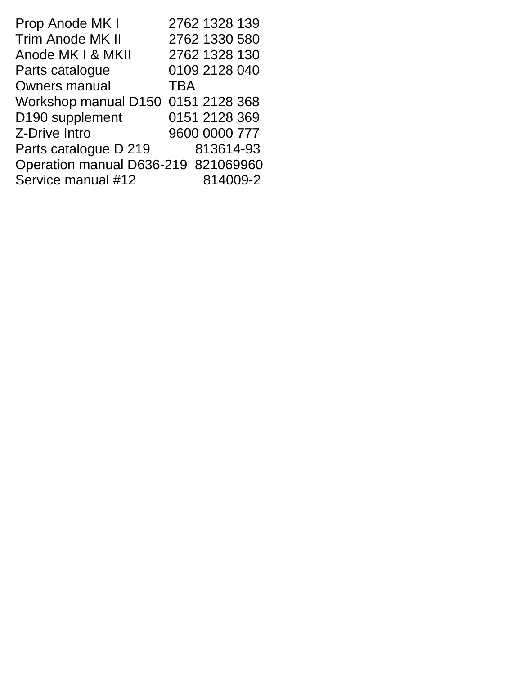| Prop Anode MK I                     | 2762 1328 139 |
|-------------------------------------|---------------|
| Trim Anode MK II                    | 2762 1330 580 |
| Anode MK I & MKII                   | 2762 1328 130 |
| Parts catalogue                     | 0109 2128 040 |
| <b>Owners manual</b>                | <b>TBA</b>    |
| Workshop manual D150 0151 2128 368  |               |
| D190 supplement                     | 0151 2128 369 |
| Z-Drive Intro                       | 9600 0000 777 |
| Parts catalogue D 219               | 813614-93     |
| Operation manual D636-219 821069960 |               |
| Service manual #12                  | 814009-2      |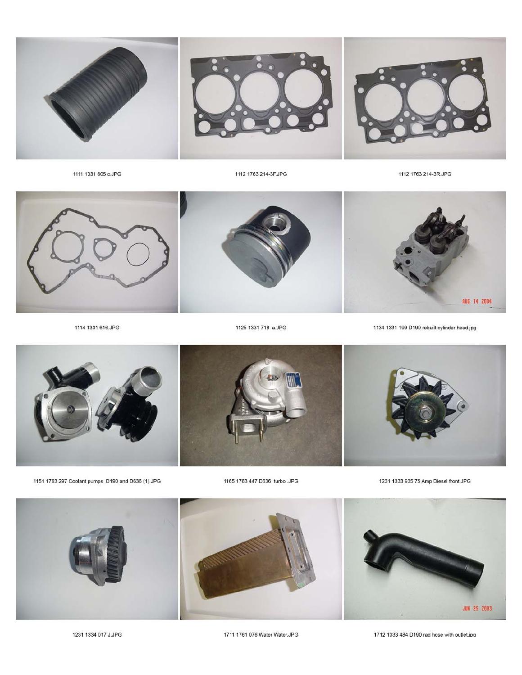1231 1334 017 J.JPG



1711 1761 076 Water Water.JPG

1712 1333 484 D190 rad hose with outlet.jpg



1151 1763 297 Coolant pumps D190 and D636 (1).JPG

1165 1763 447 D636 turbo .JPG

1231 1333 935 75 Amp Diesel front.JPG



1125 1331 718 a.JPG



1114 1331 616.JPG

1111 1331 605 c.JPG



1134 1331 199 D190 rebuilt cylinder head.jpg

1112 1763 214-3F.JPG



1112 1763 214-3R.JPG